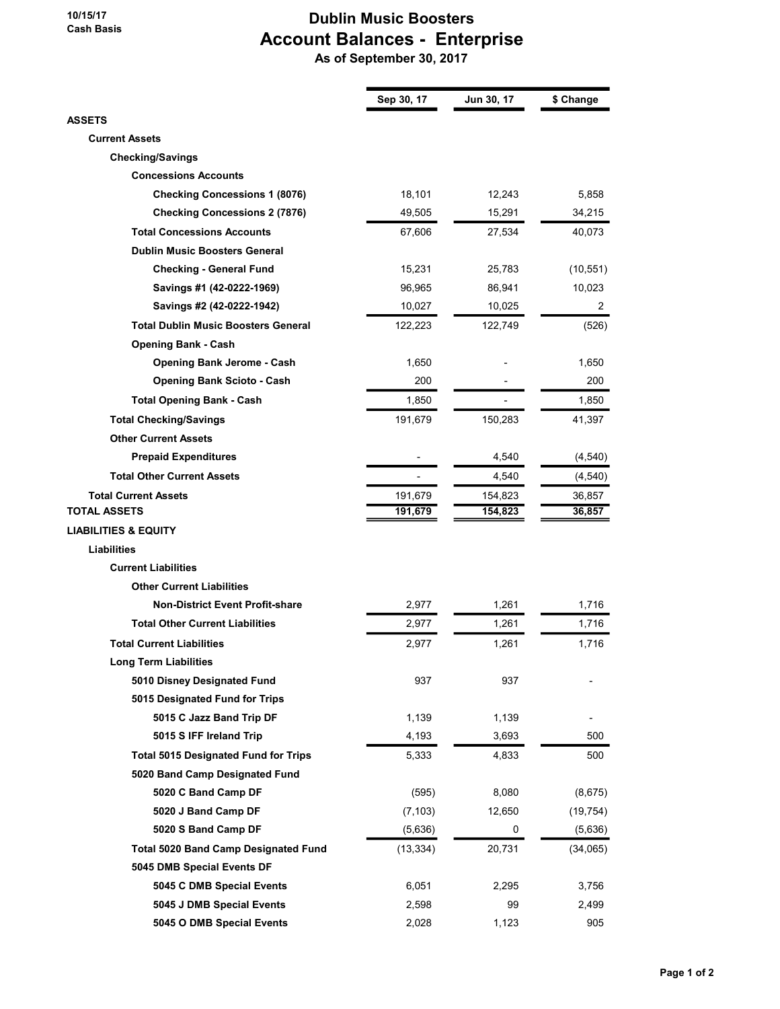## 10/15/17 Cash Basis

## Dublin Music Boosters Account Balances - Enterprise As of September 30, 2017

Sep 30, 17 Jun 30, 17 \$ Change ASSETS Current Assets Checking/Savings Concessions Accounts **Checking Concessions 1 (8076)** 18,101 12,243 5,858 **Checking Concessions 2 (7876)** 49,505 15,291 34,215 Total Concessions Accounts 27,534 67,606 40,073 Dublin Music Boosters General **Checking - General Fund 25,231 25,231 25,783** (10,551) Savings #1 (42-0222-1969) 86,965 86,941 10,023 Savings #2 (42-0222-1942) 10,027 10,025 2 Total Dublin Music Boosters General 122,223 122,749 (526) Opening Bank - Cash Opening Bank Jerome - Cash 1,650 1,650 1,650 Opening Bank Scioto - Cash - 200 200 200 200 Total Opening Bank - Cash 1,850 1,850 1,850 1,850 **Total Checking/Savings 150,283** 150,283 41,397 Other Current Assets Prepaid Expenditures **According the COVID-2012** CH<sub>3</sub>540 C(4,540) Total Other Current Assets **4,540** -  $4,540$  (4,540) **Total Current Assets** 191,679 191,679 154,823 36,857 TOTAL ASSETS 191,679 191,679 154,823 36,857 LIABILITIES & EQUITY Liabilities Current Liabilities Other Current Liabilities Non-District Event Profit-share 1,261 1,261 1,716 Total Other Current Liabilities 1,716 2,977 1,261 1,716 Total Current Liabilities 1,261 1,261 1,261 1,276 Long Term Liabilities 5010 Disney Designated Fund 937 937 5015 Designated Fund for Trips **5015 C Jazz Band Trip DF 1,139** 1,139 **5015 S IFF Ireland Trip 19th Contract 2015 S Associated A**, 193 3,693 500 Total 5015 Designated Fund for Trips **600** 5,333 4,833 500 5020 Band Camp Designated Fund **5020 C Band Camp DF**  (595) 8,080 (8,675) **5020 J Band Camp DF**  (7,103) 12,650 (19,754) **5020 S Band Camp DF**  $(5,636)$  $(5,636)$  $(5,636)$ Total 5020 Band Camp Designated Fund (13,334) 20,731 (34,065) 5045 DMB Special Events DF **5045 C DMB Special Events 2,295 2,295 3,756 5045 J DMB Special Events** 2,598 99 2,499 **5045 O DMB Special Events** 1,123 905